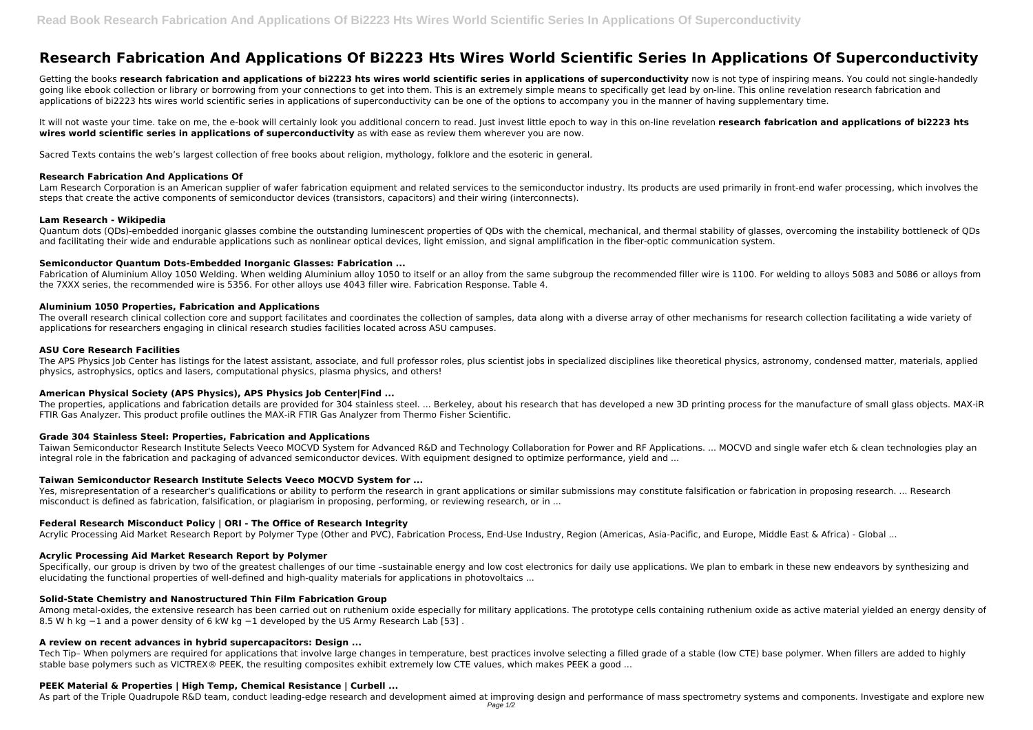# **Research Fabrication And Applications Of Bi2223 Hts Wires World Scientific Series In Applications Of Superconductivity**

Getting the books research fabrication and applications of bi2223 hts wires world scientific series in applications of superconductivity now is not type of inspiring means. You could not single-handedly going like ebook collection or library or borrowing from your connections to get into them. This is an extremely simple means to specifically get lead by on-line. This online revelation research fabrication and applications of bi2223 hts wires world scientific series in applications of superconductivity can be one of the options to accompany you in the manner of having supplementary time.

It will not waste your time, take on me, the e-book will certainly look you additional concern to read. Just invest little epoch to way in this on-line revelation research fabrication and applications of bi2223 hts **wires world scientific series in applications of superconductivity** as with ease as review them wherever you are now.

Sacred Texts contains the web's largest collection of free books about religion, mythology, folklore and the esoteric in general.

Fabrication of Aluminium Alloy 1050 Welding. When welding Aluminium alloy 1050 to itself or an alloy from the same subgroup the recommended filler wire is 1100. For welding to alloys 5083 and 5086 or alloys from the 7XXX series, the recommended wire is 5356. For other alloys use 4043 filler wire. Fabrication Response. Table 4.

# **Research Fabrication And Applications Of**

The overall research clinical collection core and support facilitates and coordinates the collection of samples, data along with a diverse array of other mechanisms for research collection facilitating a wide variety of applications for researchers engaging in clinical research studies facilities located across ASU campuses.

Lam Research Corporation is an American supplier of wafer fabrication equipment and related services to the semiconductor industry. Its products are used primarily in front-end wafer processing, which involves the steps that create the active components of semiconductor devices (transistors, capacitors) and their wiring (interconnects).

The APS Physics Job Center has listings for the latest assistant, associate, and full professor roles, plus scientist jobs in specialized disciplines like theoretical physics, astronomy, condensed matter, materials, applie physics, astrophysics, optics and lasers, computational physics, plasma physics, and others!

# **Lam Research - Wikipedia**

The properties, applications and fabrication details are provided for 304 stainless steel. ... Berkeley, about his research that has developed a new 3D printing process for the manufacture of small glass objects. MAX-iR FTIR Gas Analyzer. This product profile outlines the MAX-iR FTIR Gas Analyzer from Thermo Fisher Scientific.

Quantum dots (QDs)-embedded inorganic glasses combine the outstanding luminescent properties of QDs with the chemical, mechanical, and thermal stability of glasses, overcoming the instability bottleneck of QDs and facilitating their wide and endurable applications such as nonlinear optical devices, light emission, and signal amplification in the fiber-optic communication system.

Taiwan Semiconductor Research Institute Selects Veeco MOCVD System for Advanced R&D and Technology Collaboration for Power and RF Applications. ... MOCVD and single wafer etch & clean technologies play an integral role in the fabrication and packaging of advanced semiconductor devices. With equipment designed to optimize performance, yield and ...

# **Semiconductor Quantum Dots‐Embedded Inorganic Glasses: Fabrication ...**

Yes, misrepresentation of a researcher's qualifications or ability to perform the research in grant applications or similar submissions may constitute falsification or fabrication in proposing research. ... Research misconduct is defined as fabrication, falsification, or plagiarism in proposing, performing, or reviewing research, or in ...

# **Aluminium 1050 Properties, Fabrication and Applications**

Specifically, our group is driven by two of the greatest challenges of our time -sustainable energy and low cost electronics for daily use applications. We plan to embark in these new endeavors by synthesizing and elucidating the functional properties of well-defined and high-quality materials for applications in photovoltaics ...

# **ASU Core Research Facilities**

Tech Tip– When polymers are required for applications that involve large changes in temperature, best practices involve selecting a filled grade of a stable (low CTE) base polymer. When fillers are added to highly stable base polymers such as VICTREX® PEEK, the resulting composites exhibit extremely low CTE values, which makes PEEK a good ...

# **American Physical Society (APS Physics), APS Physics Job Center|Find ...**

# **Grade 304 Stainless Steel: Properties, Fabrication and Applications**

# **Taiwan Semiconductor Research Institute Selects Veeco MOCVD System for ...**

# **Federal Research Misconduct Policy | ORI - The Office of Research Integrity**

Acrylic Processing Aid Market Research Report by Polymer Type (Other and PVC), Fabrication Process, End-Use Industry, Region (Americas, Asia-Pacific, and Europe, Middle East & Africa) - Global ...

# **Acrylic Processing Aid Market Research Report by Polymer**

# **Solid-State Chemistry and Nanostructured Thin Film Fabrication Group**

Among metal-oxides, the extensive research has been carried out on ruthenium oxide especially for military applications. The prototype cells containing ruthenium oxide as active material yielded an energy density of 8.5 W h kg −1 and a power density of 6 kW kg −1 developed by the US Army Research Lab [53] .

# **A review on recent advances in hybrid supercapacitors: Design ...**

# **PEEK Material & Properties | High Temp, Chemical Resistance | Curbell ...**

As part of the Triple Quadrupole R&D team, conduct leading-edge research and development aimed at improving design and performance of mass spectrometry systems and components. Investigate and explore new